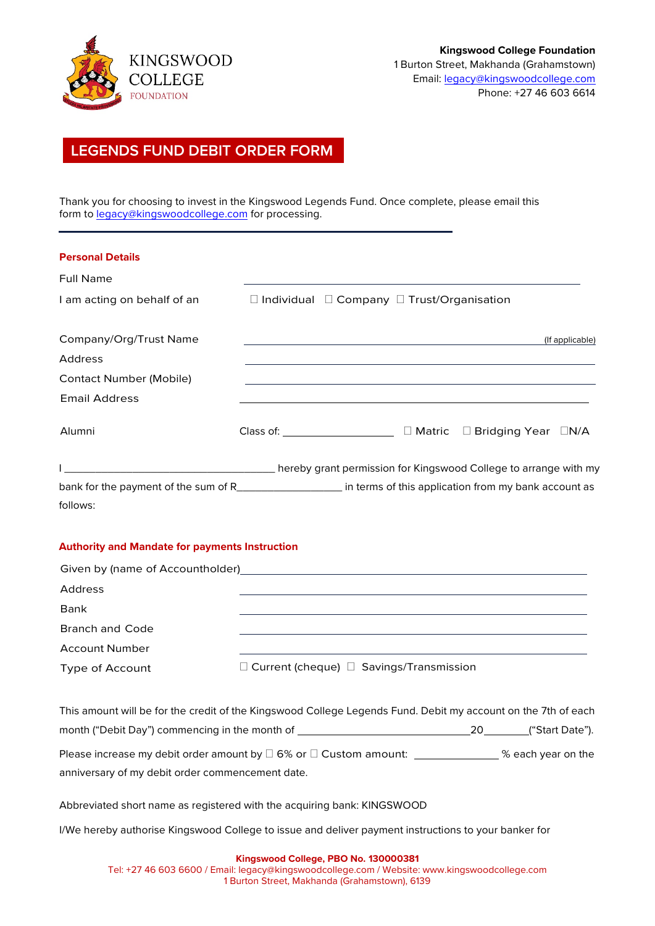

# **LEGENDS FUND DEBIT ORDER FORM**

Thank you for choosing to invest in the Kingswood Legends Fund. Once complete, please email this form t[o legacy@kingswoodcollege.com](mailto:legacy@kingswoodcollege.com) for processing.

| <b>Personal Details</b>                                                                                          |                                      |                                                                                                                       |                                                                  |  |
|------------------------------------------------------------------------------------------------------------------|--------------------------------------|-----------------------------------------------------------------------------------------------------------------------|------------------------------------------------------------------|--|
| <b>Full Name</b>                                                                                                 |                                      |                                                                                                                       |                                                                  |  |
| I am acting on behalf of an                                                                                      |                                      | □ Individual □ Company □ Trust/Organisation                                                                           |                                                                  |  |
| Company/Org/Trust Name                                                                                           |                                      |                                                                                                                       | (If applicable)                                                  |  |
| Address                                                                                                          |                                      |                                                                                                                       |                                                                  |  |
| <b>Contact Number (Mobile)</b>                                                                                   |                                      | <u>and the state of the state of the state of the state of the state of the state of the state of the state of th</u> |                                                                  |  |
| Email Address                                                                                                    |                                      |                                                                                                                       |                                                                  |  |
| Alumni                                                                                                           | Class of: The Class of Section 1999. |                                                                                                                       | $\Box$ Matric $\Box$ Bridging Year $\Box N/A$                    |  |
|                                                                                                                  |                                      |                                                                                                                       | hereby grant permission for Kingswood College to arrange with my |  |
| bank for the payment of the sum of R_______________________ in terms of this application from my bank account as |                                      |                                                                                                                       |                                                                  |  |
| follows:                                                                                                         |                                      |                                                                                                                       |                                                                  |  |

## **Authority and Mandate for payments Instruction**

| Given by (name of Accountholder) |                                                     |
|----------------------------------|-----------------------------------------------------|
| Address                          |                                                     |
| Bank                             |                                                     |
| <b>Branch and Code</b>           |                                                     |
| <b>Account Number</b>            |                                                     |
| Type of Account                  | $\Box$ Current (cheque) $\Box$ Savings/Transmission |

| This amount will be for the credit of the Kingswood College Legends Fund. Debit my account on the 7th of each |      |                    |
|---------------------------------------------------------------------------------------------------------------|------|--------------------|
| month ("Debit Day") commencing in the month of                                                                | 20 — | ("Start Date").    |
| Please increase my debit order amount by $\square$ 6% or $\square$ Custom amount:                             |      | % each year on the |
| anniversary of my debit order commencement date.                                                              |      |                    |

Abbreviated short name as registered with the acquiring bank: KINGSWOOD

I/We hereby authorise Kingswood College to issue and deliver payment instructions to your banker for